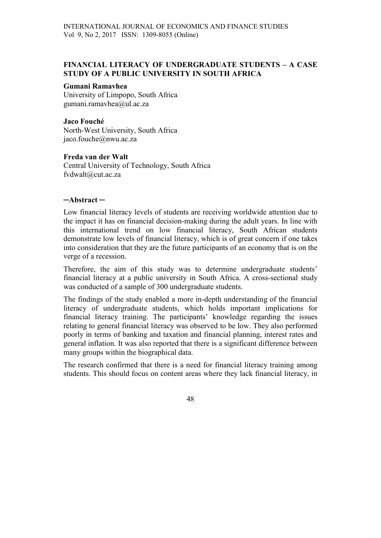### FINANCIAL LITERACY OF UNDERGRADUATE STUDENTS – A CASE STUDY OF A PUBLIC UNIVERSITY IN SOUTH AFRICA

#### Gumani Ramavhea

University of Limpopo, South Africa gumani.ramavhea@ul.ac.za

# Jaco Fouché

North-West University, South Africa jaco.fouche@nwu.ac.za

#### Freda van der Walt

Central University of Technology, South Africa fvdwalt@cut.ac.za

#### ─Abstract ─

Low financial literacy levels of students are receiving worldwide attention due to the impact it has on financial decision-making during the adult years. In line with this international trend on low financial literacy, South African students demonstrate low levels of financial literacy, which is of great concern if one takes into consideration that they are the future participants of an economy that is on the verge of a recession.

Therefore, the aim of this study was to determine undergraduate students' financial literacy at a public university in South Africa. A cross-sectional study was conducted of a sample of 300 undergraduate students.

The findings of the study enabled a more in-depth understanding of the financial literacy of undergraduate students, which holds important implications for financial literacy training. The participants' knowledge regarding the issues relating to general financial literacy was observed to be low. They also performed poorly in terms of banking and taxation and financial planning, interest rates and general inflation. It was also reported that there is a significant difference between many groups within the biographical data.

The research confirmed that there is a need for financial literacy training among students. This should focus on content areas where they lack financial literacy, in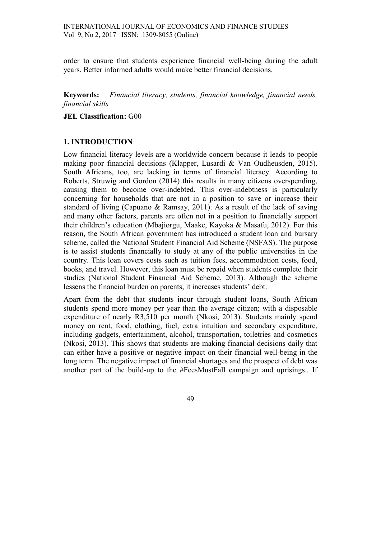order to ensure that students experience financial well-being during the adult years. Better informed adults would make better financial decisions.

Keywords: Financial literacy, students, financial knowledge, financial needs, financial skills

#### JEL Classification: G00

### 1. INTRODUCTION

Low financial literacy levels are a worldwide concern because it leads to people making poor financial decisions (Klapper, Lusardi & Van Oudheusden, 2015). South Africans, too, are lacking in terms of financial literacy. According to Roberts, Struwig and Gordon (2014) this results in many citizens overspending, causing them to become over-indebted. This over-indebtness is particularly concerning for households that are not in a position to save or increase their standard of living (Capuano & Ramsay, 2011). As a result of the lack of saving and many other factors, parents are often not in a position to financially support their children's education (Mbajiorgu, Maake, Kayoka & Masafu, 2012). For this reason, the South African government has introduced a student loan and bursary scheme, called the National Student Financial Aid Scheme (NSFAS). The purpose is to assist students financially to study at any of the public universities in the country. This loan covers costs such as tuition fees, accommodation costs, food, books, and travel. However, this loan must be repaid when students complete their studies (National Student Financial Aid Scheme, 2013). Although the scheme lessens the financial burden on parents, it increases students' debt.

Apart from the debt that students incur through student loans, South African students spend more money per year than the average citizen; with a disposable expenditure of nearly R3,510 per month (Nkosi, 2013). Students mainly spend money on rent, food, clothing, fuel, extra intuition and secondary expenditure, including gadgets, entertainment, alcohol, transportation, toiletries and cosmetics (Nkosi, 2013). This shows that students are making financial decisions daily that can either have a positive or negative impact on their financial well-being in the long term. The negative impact of financial shortages and the prospect of debt was another part of the build-up to the #FeesMustFall campaign and uprisings.. If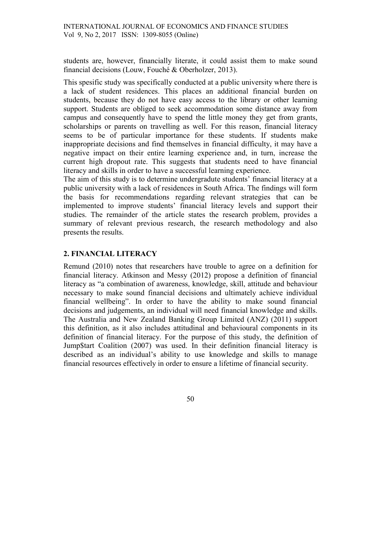students are, however, financially literate, it could assist them to make sound financial decisions (Louw, Fouché & Oberholzer, 2013).

This spesific study was specifically conducted at a public university where there is a lack of student residences. This places an additional financial burden on students, because they do not have easy access to the library or other learning support. Students are obliged to seek accommodation some distance away from campus and consequently have to spend the little money they get from grants, scholarships or parents on travelling as well. For this reason, financial literacy seems to be of particular importance for these students. If students make inappropriate decisions and find themselves in financial difficulty, it may have a negative impact on their entire learning experience and, in turn, increase the current high dropout rate. This suggests that students need to have financial literacy and skills in order to have a successful learning experience.

The aim of this study is to determine undergradute students' financial literacy at a public university with a lack of residences in South Africa. The findings will form the basis for recommendations regarding relevant strategies that can be implemented to improve students' financial literacy levels and support their studies. The remainder of the article states the research problem, provides a summary of relevant previous research, the research methodology and also presents the results.

# 2. FINANCIAL LITERACY

Remund (2010) notes that researchers have trouble to agree on a definition for financial literacy. Atkinson and Messy (2012) propose a definition of financial literacy as "a combination of awareness, knowledge, skill, attitude and behaviour necessary to make sound financial decisions and ultimately achieve individual financial wellbeing". In order to have the ability to make sound financial decisions and judgements, an individual will need financial knowledge and skills. The Australia and New Zealand Banking Group Limited (ANZ) (2011) support this definition, as it also includes attitudinal and behavioural components in its definition of financial literacy. For the purpose of this study, the definition of Jump\$tart Coalition (2007) was used. In their definition financial literacy is described as an individual's ability to use knowledge and skills to manage financial resources effectively in order to ensure a lifetime of financial security.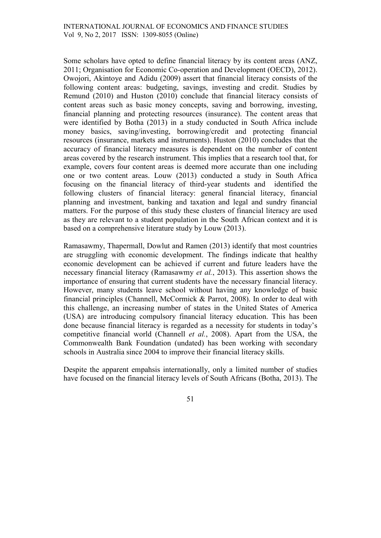Some scholars have opted to define financial literacy by its content areas (ANZ, 2011; Organisation for Economic Co-operation and Development (OECD), 2012). Owojori, Akintoye and Adidu (2009) assert that financial literacy consists of the following content areas: budgeting, savings, investing and credit. Studies by Remund (2010) and Huston (2010) conclude that financial literacy consists of content areas such as basic money concepts, saving and borrowing, investing, financial planning and protecting resources (insurance). The content areas that were identified by Botha (2013) in a study conducted in South Africa include money basics, saving/investing, borrowing/credit and protecting financial resources (insurance, markets and instruments). Huston (2010) concludes that the accuracy of financial literacy measures is dependent on the number of content areas covered by the research instrument. This implies that a research tool that, for example, covers four content areas is deemed more accurate than one including one or two content areas. Louw (2013) conducted a study in South Africa focusing on the financial literacy of third-year students and identified the following clusters of financial literacy: general financial literacy, financial planning and investment, banking and taxation and legal and sundry financial matters. For the purpose of this study these clusters of financial literacy are used as they are relevant to a student population in the South African context and it is based on a comprehensive literature study by Louw (2013).

Ramasawmy, Thapermall, Dowlut and Ramen (2013) identify that most countries are struggling with economic development. The findings indicate that healthy economic development can be achieved if current and future leaders have the necessary financial literacy (Ramasawmy et al., 2013). This assertion shows the importance of ensuring that current students have the necessary financial literacy. However, many students leave school without having any knowledge of basic financial principles (Channell, McCormick & Parrot, 2008). In order to deal with this challenge, an increasing number of states in the United States of America (USA) are introducing compulsory financial literacy education. This has been done because financial literacy is regarded as a necessity for students in today's competitive financial world (Channell et al., 2008). Apart from the USA, the Commonwealth Bank Foundation (undated) has been working with secondary schools in Australia since 2004 to improve their financial literacy skills.

Despite the apparent empahsis internationally, only a limited number of studies have focused on the financial literacy levels of South Africans (Botha, 2013). The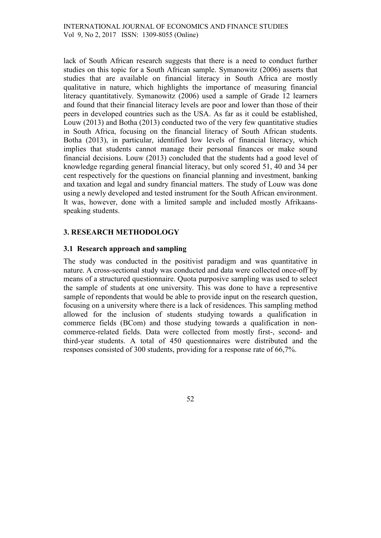lack of South African research suggests that there is a need to conduct further studies on this topic for a South African sample. Symanowitz (2006) asserts that studies that are available on financial literacy in South Africa are mostly qualitative in nature, which highlights the importance of measuring financial literacy quantitatively. Symanowitz (2006) used a sample of Grade 12 learners and found that their financial literacy levels are poor and lower than those of their peers in developed countries such as the USA. As far as it could be established, Louw (2013) and Botha (2013) conducted two of the very few quantitative studies in South Africa, focusing on the financial literacy of South African students. Botha (2013), in particular, identified low levels of financial literacy, which implies that students cannot manage their personal finances or make sound financial decisions. Louw (2013) concluded that the students had a good level of knowledge regarding general financial literacy, but only scored 51, 40 and 34 per cent respectively for the questions on financial planning and investment, banking and taxation and legal and sundry financial matters. The study of Louw was done using a newly developed and tested instrument for the South African environment. It was, however, done with a limited sample and included mostly Afrikaansspeaking students.

# 3. RESEARCH METHODOLOGY

### 3.1 Research approach and sampling

The study was conducted in the positivist paradigm and was quantitative in nature. A cross-sectional study was conducted and data were collected once-off by means of a structured questionnaire. Quota purposive sampling was used to select the sample of students at one university. This was done to have a representive sample of repondents that would be able to provide input on the research question, focusing on a university where there is a lack of residences. This sampling method allowed for the inclusion of students studying towards a qualification in commerce fields (BCom) and those studying towards a qualification in noncommerce-related fields. Data were collected from mostly first-, second- and third-year students. A total of 450 questionnaires were distributed and the responses consisted of 300 students, providing for a response rate of 66,7%.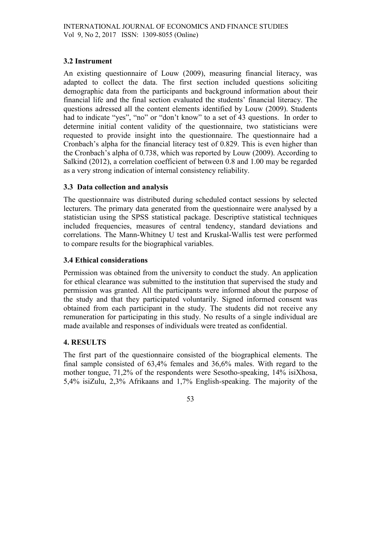### 3.2 Instrument

An existing questionnaire of Louw (2009), measuring financial literacy, was adapted to collect the data. The first section included questions soliciting demographic data from the participants and background information about their financial life and the final section evaluated the students' financial literacy. The questions adressed all the content elements identified by Louw (2009). Students had to indicate "yes", "no" or "don't know" to a set of 43 questions. In order to determine initial content validity of the questionnaire, two statisticians were requested to provide insight into the questionnaire. The questionnaire had a Cronbach's alpha for the financial literacy test of 0.829. This is even higher than the Cronbach's alpha of 0.738, which was reported by Louw (2009). According to Salkind (2012), a correlation coefficient of between 0.8 and 1.00 may be regarded as a very strong indication of internal consistency reliability.

# 3.3 Data collection and analysis

The questionnaire was distributed during scheduled contact sessions by selected lecturers. The primary data generated from the questionnaire were analysed by a statistician using the SPSS statistical package. Descriptive statistical techniques included frequencies, measures of central tendency, standard deviations and correlations. The Mann-Whitney U test and Kruskal-Wallis test were performed to compare results for the biographical variables.

### 3.4 Ethical considerations

Permission was obtained from the university to conduct the study. An application for ethical clearance was submitted to the institution that supervised the study and permission was granted. All the participants were informed about the purpose of the study and that they participated voluntarily. Signed informed consent was obtained from each participant in the study. The students did not receive any remuneration for participating in this study. No results of a single individual are made available and responses of individuals were treated as confidential.

### 4. RESULTS

The first part of the questionnaire consisted of the biographical elements. The final sample consisted of 63,4% females and 36,6% males. With regard to the mother tongue, 71,2% of the respondents were Sesotho-speaking, 14% isiXhosa, 5,4% isiZulu, 2,3% Afrikaans and 1,7% English-speaking. The majority of the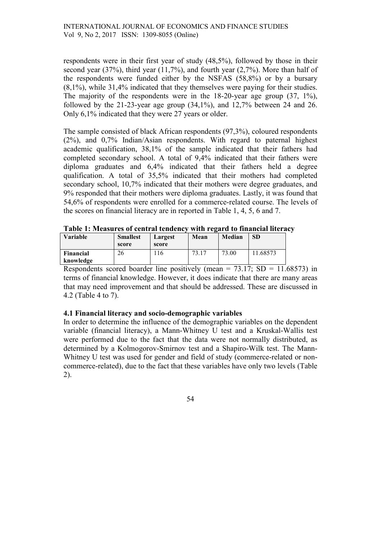respondents were in their first year of study (48,5%), followed by those in their second year (37%), third year (11,7%), and fourth year (2,7%). More than half of the respondents were funded either by the NSFAS (58,8%) or by a bursary (8,1%), while 31,4% indicated that they themselves were paying for their studies. The majority of the respondents were in the 18-20-year age group  $(37, 1\%)$ , followed by the 21-23-year age group  $(34,1\%)$ , and  $12,7\%$  between 24 and 26. Only 6,1% indicated that they were 27 years or older.

The sample consisted of black African respondents (97,3%), coloured respondents (2%), and 0,7% Indian/Asian respondents. With regard to paternal highest academic qualification, 38,1% of the sample indicated that their fathers had completed secondary school. A total of 9,4% indicated that their fathers were diploma graduates and 6,4% indicated that their fathers held a degree qualification. A total of 35,5% indicated that their mothers had completed secondary school, 10,7% indicated that their mothers were degree graduates, and 9% responded that their mothers were diploma graduates. Lastly, it was found that 54,6% of respondents were enrolled for a commerce-related course. The levels of the scores on financial literacy are in reported in Table 1, 4, 5, 6 and 7.

| Tuble 11 Measures of central tenuenc |                 |         | with I veulu to minument meel a |        |           |  |  |
|--------------------------------------|-----------------|---------|---------------------------------|--------|-----------|--|--|
| Variable                             | <b>Smallest</b> | Largest | Mean                            | Median | <b>SD</b> |  |  |
|                                      | score           | score   |                                 |        |           |  |  |
| Financial                            | 26              | 16      | 73.17                           | 73.00  | 11.68573  |  |  |
| knowledge                            |                 |         |                                 |        |           |  |  |

Table 1: Measures of central tendency with regard to financial literacy

Respondents scored boarder line positively (mean =  $73.17$ ; SD =  $11.68573$ ) in terms of financial knowledge. However, it does indicate that there are many areas that may need improvement and that should be addressed. These are discussed in 4.2 (Table 4 to 7).

### 4.1 Financial literacy and socio-demographic variables

In order to determine the influence of the demographic variables on the dependent variable (financial literacy), a Mann-Whitney U test and a Kruskal-Wallis test were performed due to the fact that the data were not normally distributed, as determined by a Kolmogorov-Smirnov test and a Shapiro-Wilk test. The Mann-Whitney U test was used for gender and field of study (commerce-related or noncommerce-related), due to the fact that these variables have only two levels (Table 2).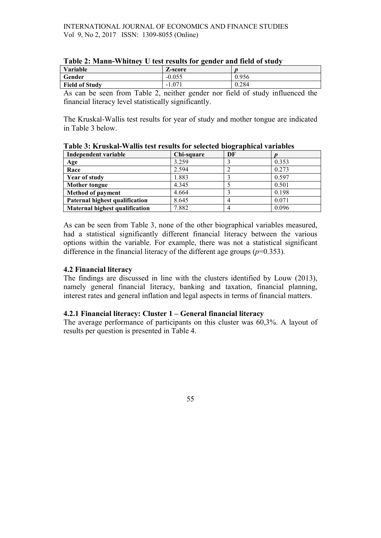| Variable              | Z-score  |       |
|-----------------------|----------|-------|
| Gender                | $-0.055$ | 0.956 |
| <b>Field of Study</b> | $-1.071$ | 0.284 |

As can be seen from Table 2, neither gender nor field of study influenced the financial literacy level statistically significantly.

The Kruskal-Wallis test results for year of study and mother tongue are indicated in Table 3 below.

| Independent variable                  | Chi-square | $\cdot$<br>DF |       |
|---------------------------------------|------------|---------------|-------|
| Age                                   | 3.259      |               | 0.353 |
| Race                                  | 2.594      |               | 0.273 |
| <b>Year of study</b>                  | 1.883      |               | 0.597 |
| <b>Mother tongue</b>                  | 4.345      |               | 0.501 |
| <b>Method of payment</b>              | 4.664      |               | 0.198 |
| Paternal highest qualification        | 8.645      |               | 0.071 |
| <b>Maternal highest qualification</b> | 7.882      |               | 0.096 |

Table 3: Kruskal-Wallis test results for selected biographical variables

As can be seen from Table 3, none of the other biographical variables measured, had a statistical significantly different financial literacy between the various options within the variable. For example, there was not a statistical significant difference in the financial literacy of the different age groups  $(p=0.353)$ .

### 4.2 Financial literacy

The findings are discussed in line with the clusters identified by Louw (2013), namely general financial literacy, banking and taxation, financial planning, interest rates and general inflation and legal aspects in terms of financial matters.

### 4.2.1 Financial literacy: Cluster 1 – General financial literacy

The average performance of participants on this cluster was 60,3%. A layout of results per question is presented in Table 4.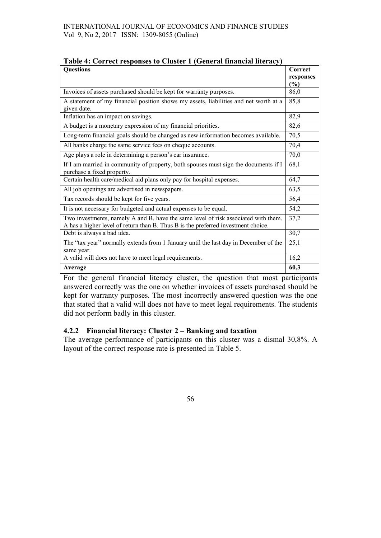| <b>Questions</b>                                                                                                                                                        | Correct<br>responses |
|-------------------------------------------------------------------------------------------------------------------------------------------------------------------------|----------------------|
|                                                                                                                                                                         | $\frac{6}{9}$        |
| Invoices of assets purchased should be kept for warranty purposes.                                                                                                      | 86,0                 |
| A statement of my financial position shows my assets, liabilities and net worth at a<br>given date.                                                                     | 85,8                 |
| Inflation has an impact on savings.                                                                                                                                     | 82,9                 |
| A budget is a monetary expression of my financial priorities.                                                                                                           | 82,6                 |
| Long-term financial goals should be changed as new information becomes available.                                                                                       | 70,5                 |
| All banks charge the same service fees on cheque accounts.                                                                                                              | 70,4                 |
| Age plays a role in determining a person's car insurance.                                                                                                               | 70,0                 |
| If I am married in community of property, both spouses must sign the documents if I<br>purchase a fixed property.                                                       | 68,1                 |
| Certain health care/medical aid plans only pay for hospital expenses.                                                                                                   | 64,7                 |
| All job openings are advertised in newspapers.                                                                                                                          | 63,5                 |
| Tax records should be kept for five years.                                                                                                                              | 56,4                 |
| It is not necessary for budgeted and actual expenses to be equal.                                                                                                       | 54,2                 |
| Two investments, namely A and B, have the same level of risk associated with them.<br>A has a higher level of return than B. Thus B is the preferred investment choice. | 37,2                 |
| Debt is always a bad idea.                                                                                                                                              | 30,7                 |
| The "tax year" normally extends from 1 January until the last day in December of the<br>same year.                                                                      | 25,1                 |
| A valid will does not have to meet legal requirements.                                                                                                                  | 16,2                 |
| Average                                                                                                                                                                 | 60,3                 |

| Table 4: Correct responses to Cluster 1 (General financial literacy) |  |  |  |
|----------------------------------------------------------------------|--|--|--|
|----------------------------------------------------------------------|--|--|--|

For the general financial literacy cluster, the question that most participants answered correctly was the one on whether invoices of assets purchased should be kept for warranty purposes. The most incorrectly answered question was the one that stated that a valid will does not have to meet legal requirements. The students did not perform badly in this cluster.

### 4.2.2 Financial literacy: Cluster 2 – Banking and taxation

The average performance of participants on this cluster was a dismal 30,8%. A layout of the correct response rate is presented in Table 5.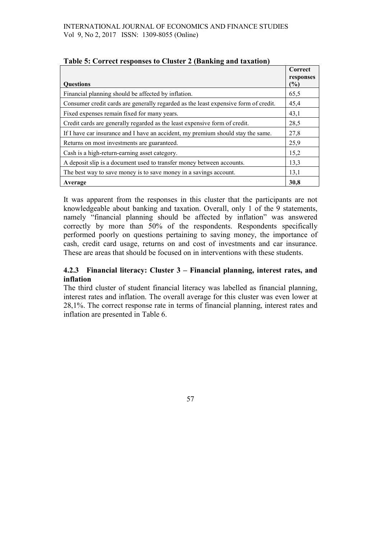|                                                                                     | Correct          |
|-------------------------------------------------------------------------------------|------------------|
| <b>Ouestions</b>                                                                    | responses<br>(%) |
| Financial planning should be affected by inflation.                                 | 65,5             |
| Consumer credit cards are generally regarded as the least expensive form of credit. | 45,4             |
| Fixed expenses remain fixed for many years.                                         | 43,1             |
| Credit cards are generally regarded as the least expensive form of credit.          | 28,5             |
| If I have car insurance and I have an accident, my premium should stay the same.    | 27,8             |
| Returns on most investments are guaranteed.                                         | 25,9             |
| Cash is a high-return-earning asset category.                                       | 15,2             |
| A deposit slip is a document used to transfer money between accounts.               | 13,3             |
| The best way to save money is to save money in a savings account.                   | 13,1             |
| Average                                                                             | 30,8             |

### Table 5: Correct responses to Cluster 2 (Banking and taxation)

It was apparent from the responses in this cluster that the participants are not knowledgeable about banking and taxation. Overall, only 1 of the 9 statements, namely "financial planning should be affected by inflation" was answered correctly by more than 50% of the respondents. Respondents specifically performed poorly on questions pertaining to saving money, the importance of cash, credit card usage, returns on and cost of investments and car insurance. These are areas that should be focused on in interventions with these students.

# 4.2.3 Financial literacy: Cluster 3 – Financial planning, interest rates, and inflation

The third cluster of student financial literacy was labelled as financial planning, interest rates and inflation. The overall average for this cluster was even lower at 28,1%. The correct response rate in terms of financial planning, interest rates and inflation are presented in Table 6.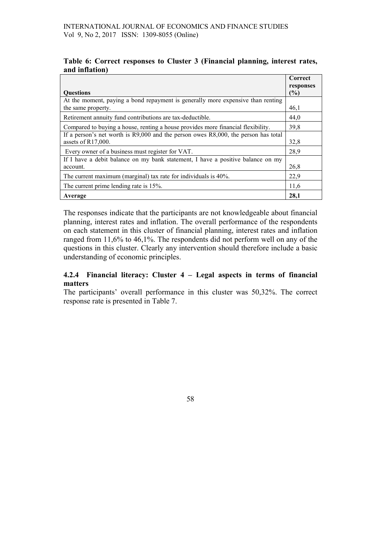#### Table 6: Correct responses to Cluster 3 (Financial planning, interest rates, and inflation)

|                                                                                         | Correct<br>responses |  |  |  |
|-----------------------------------------------------------------------------------------|----------------------|--|--|--|
| <b>Ouestions</b>                                                                        |                      |  |  |  |
| At the moment, paying a bond repayment is generally more expensive than renting         |                      |  |  |  |
| the same property.                                                                      | 46,1                 |  |  |  |
| Retirement annuity fund contributions are tax-deductible.                               | 44,0                 |  |  |  |
| Compared to buying a house, renting a house provides more financial flexibility.        | 39,8                 |  |  |  |
| If a person's net worth is $R9,000$ and the person owes $R8,000$ , the person has total |                      |  |  |  |
| assets of $R17,000$ .                                                                   | 32,8                 |  |  |  |
| Every owner of a business must register for VAT.                                        | 28,9                 |  |  |  |
| If I have a debit balance on my bank statement, I have a positive balance on my         |                      |  |  |  |
| account.                                                                                | 26,8                 |  |  |  |
| The current maximum (marginal) tax rate for individuals is 40%.                         | 22,9                 |  |  |  |
| The current prime lending rate is 15%.                                                  |                      |  |  |  |
| Average                                                                                 | 28,1                 |  |  |  |

The responses indicate that the participants are not knowledgeable about financial planning, interest rates and inflation. The overall performance of the respondents on each statement in this cluster of financial planning, interest rates and inflation ranged from 11,6% to 46,1%. The respondents did not perform well on any of the questions in this cluster. Clearly any intervention should therefore include a basic understanding of economic principles.

### 4.2.4 Financial literacy: Cluster 4 – Legal aspects in terms of financial matters

The participants' overall performance in this cluster was 50,32%. The correct response rate is presented in Table 7.

58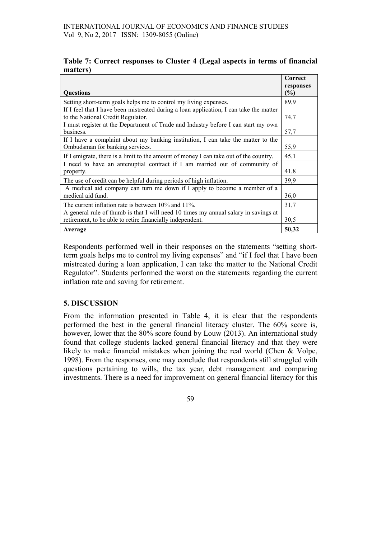| Table 7: Correct responses to Cluster 4 (Legal aspects in terms of financial |  |  |  |  |
|------------------------------------------------------------------------------|--|--|--|--|
| matters)                                                                     |  |  |  |  |

|                                                                                        | Correct                    |
|----------------------------------------------------------------------------------------|----------------------------|
| <b>Ouestions</b>                                                                       | responses<br>$\frac{6}{6}$ |
| Setting short-term goals helps me to control my living expenses.                       | 89,9                       |
| If I feel that I have been mistreated during a loan application, I can take the matter |                            |
| to the National Credit Regulator.                                                      | 74,7                       |
| I must register at the Department of Trade and Industry before I can start my own      |                            |
| business.                                                                              | 57,7                       |
| If I have a complaint about my banking institution, I can take the matter to the       |                            |
| Ombudsman for banking services.                                                        | 55,9                       |
| If I emigrate, there is a limit to the amount of money I can take out of the country.  | 45,1                       |
| I need to have an antenuptial contract if I am married out of community of             |                            |
| property.                                                                              | 41,8                       |
| The use of credit can be helpful during periods of high inflation.                     | 39.9                       |
| A medical aid company can turn me down if I apply to become a member of a              |                            |
| medical aid fund.                                                                      | 36,0                       |
| The current inflation rate is between $10\%$ and $11\%$ .                              | 31,7                       |
| A general rule of thumb is that I will need 10 times my annual salary in savings at    |                            |
| retirement, to be able to retire financially independent.                              | 30,5                       |
| Average                                                                                | 50,32                      |

Respondents performed well in their responses on the statements "setting shortterm goals helps me to control my living expenses" and "if I feel that I have been mistreated during a loan application, I can take the matter to the National Credit Regulator". Students performed the worst on the statements regarding the current inflation rate and saving for retirement.

### 5. DISCUSSION

From the information presented in Table 4, it is clear that the respondents performed the best in the general financial literacy cluster. The 60% score is, however, lower that the 80% score found by Louw (2013). An international study found that college students lacked general financial literacy and that they were likely to make financial mistakes when joining the real world (Chen & Volpe, 1998). From the responses, one may conclude that respondents still struggled with questions pertaining to wills, the tax year, debt management and comparing investments. There is a need for improvement on general financial literacy for this

59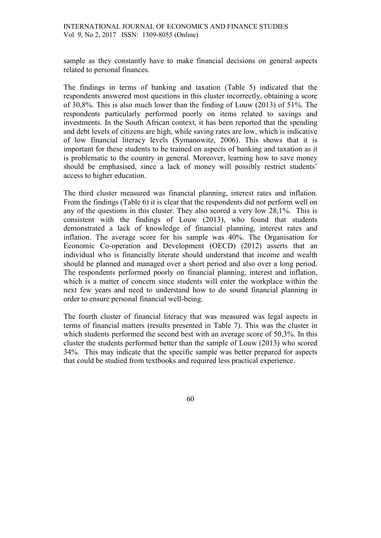sample as they constantly have to make financial decisions on general aspects related to personal finances.

The findings in terms of banking and taxation (Table 5) indicated that the respondents answered most questions in this cluster incorrectly, obtaining a score of 30,8%. This is also much lower than the finding of Louw (2013) of 51%. The respondents particularly performed poorly on items related to savings and investments. In the South African context, it has been reported that the spending and debt levels of citizens are high, while saving rates are low, which is indicative of low financial literacy levels (Symanowitz, 2006). This shows that it is important for these students to be trained on aspects of banking and taxation as it is problematic to the country in general. Moreover, learning how to save money should be emphasised, since a lack of money will possibly restrict students' access to higher education.

The third cluster measured was financial planning, interest rates and inflation. From the findings (Table 6) it is clear that the respondents did not perform well on any of the questions in this cluster. They also scored a very low 28,1%. This is consistent with the findings of Louw (2013), who found that students demonstrated a lack of knowledge of financial planning, interest rates and inflation. The average score for his sample was 40%. The Organisation for Economic Co-operation and Development (OECD) (2012) asserts that an individual who is financially literate should understand that income and wealth should be planned and managed over a short period and also over a long period. The respondents performed poorly on financial planning, interest and inflation, which is a matter of concern since students will enter the workplace within the next few years and need to understand how to do sound financial planning in order to ensure personal financial well-being.

The fourth cluster of financial literacy that was measured was legal aspects in terms of financial matters (results presented in Table 7). This was the cluster in which students performed the second best with an average score of 50.3%. In this cluster the students performed better than the sample of Louw (2013) who scored 34%. This may indicate that the specific sample was better prepared for aspects that could be studied from textbooks and required less practical experience.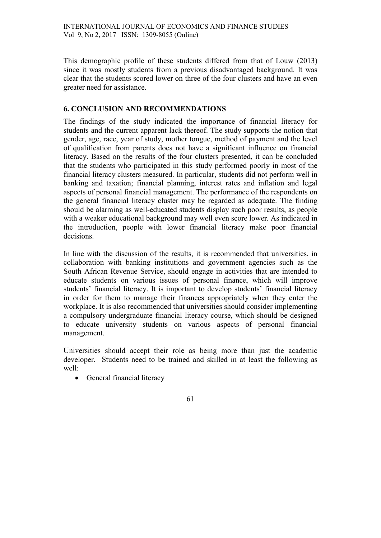This demographic profile of these students differed from that of Louw (2013) since it was mostly students from a previous disadvantaged background. It was clear that the students scored lower on three of the four clusters and have an even greater need for assistance.

### 6. CONCLUSION AND RECOMMENDATIONS

The findings of the study indicated the importance of financial literacy for students and the current apparent lack thereof. The study supports the notion that gender, age, race, year of study, mother tongue, method of payment and the level of qualification from parents does not have a significant influence on financial literacy. Based on the results of the four clusters presented, it can be concluded that the students who participated in this study performed poorly in most of the financial literacy clusters measured. In particular, students did not perform well in banking and taxation; financial planning, interest rates and inflation and legal aspects of personal financial management. The performance of the respondents on the general financial literacy cluster may be regarded as adequate. The finding should be alarming as well-educated students display such poor results, as people with a weaker educational background may well even score lower. As indicated in the introduction, people with lower financial literacy make poor financial decisions.

In line with the discussion of the results, it is recommended that universities, in collaboration with banking institutions and government agencies such as the South African Revenue Service, should engage in activities that are intended to educate students on various issues of personal finance, which will improve students' financial literacy. It is important to develop students' financial literacy in order for them to manage their finances appropriately when they enter the workplace. It is also recommended that universities should consider implementing a compulsory undergraduate financial literacy course, which should be designed to educate university students on various aspects of personal financial management.

Universities should accept their role as being more than just the academic developer. Students need to be trained and skilled in at least the following as well:

• General financial literacy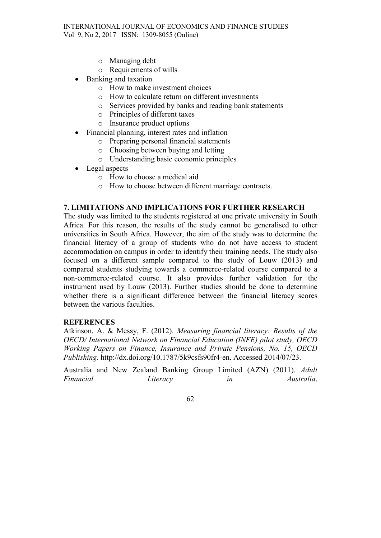- o Managing debt
- o Requirements of wills
- Banking and taxation
	- o How to make investment choices
	- o How to calculate return on different investments
	- o Services provided by banks and reading bank statements
	- o Principles of different taxes
	- o Insurance product options
- Financial planning, interest rates and inflation
	- o Preparing personal financial statements
	- o Choosing between buying and letting
	- o Understanding basic economic principles
- Legal aspects
	- o How to choose a medical aid
	- o How to choose between different marriage contracts.

# 7. LIMITATIONS AND IMPLICATIONS FOR FURTHER RESEARCH

The study was limited to the students registered at one private university in South Africa. For this reason, the results of the study cannot be generalised to other universities in South Africa. However, the aim of the study was to determine the financial literacy of a group of students who do not have access to student accommodation on campus in order to identify their training needs. The study also focused on a different sample compared to the study of Louw (2013) and compared students studying towards a commerce-related course compared to a non-commerce-related course. It also provides further validation for the instrument used by Louw (2013). Further studies should be done to determine whether there is a significant difference between the financial literacy scores between the various faculties.

### **REFERENCES**

Atkinson, A. & Messy, F. (2012). Measuring financial literacy: Results of the OECD/ International Network on Financial Education (INFE) pilot study, OECD Working Papers on Finance, Insurance and Private Pensions, No. 15, OECD Publishing. http://dx.doi.org/10.1787/5k9csfs90fr4-en. Accessed 2014/07/23.

Australia and New Zealand Banking Group Limited (AZN) (2011). Adult Financial Contractive Literacy in the Mustralia.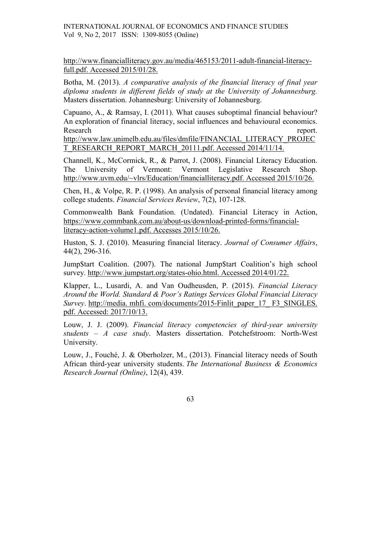INTERNATIONAL JOURNAL OF ECONOMICS AND FINANCE STUDIES Vol 9, No 2, 2017 ISSN: 1309-8055 (Online)

http://www.financialliteracy.gov.au/media/465153/2011-adult-financial-literacyfull.pdf. Accessed 2015/01/28.

Botha, M. (2013). A comparative analysis of the financial literacy of final year diploma students in different fields of study at the University of Johannesburg. Masters dissertation. Johannesburg: University of Johannesburg.

Capuano, A., & Ramsay, I. (2011). What causes suboptimal financial behaviour? An exploration of financial literacy, social influences and behavioural economics. Research report.

http://www.law.unimelb.edu.au/files/dmfile/FINANCIAL\_LITERACY\_PROJEC T\_RESEARCH\_REPORT\_MARCH\_20111.pdf. Accessed 2014/11/14.

Channell, K., McCormick, R., & Parrot, J. (2008). Financial Literacy Education. The University of Vermont: Vermont Legislative Research Shop. http://www.uvm.edu/~vlrs/Education/financialliteracy.pdf. Accessed 2015/10/26.

Chen, H., & Volpe, R. P. (1998). An analysis of personal financial literacy among college students. Financial Services Review, 7(2), 107-128.

Commonwealth Bank Foundation. (Undated). Financial Literacy in Action, https://www.commbank.com.au/about-us/download-printed-forms/financialliteracy-action-volume1.pdf. Accesses 2015/10/26.

Huston, S. J. (2010). Measuring financial literacy. Journal of Consumer Affairs, 44(2), 296-316.

Jump\$tart Coalition. (2007). The national Jump\$tart Coalition's high school survey. http://www.jumpstart.org/states-ohio.html. Accessed 2014/01/22.

Klapper, L., Lusardi, A. and Van Oudheusden, P. (2015). Financial Literacy Around the World. Standard & Poor's Ratings Services Global Financial Literacy Survey. http://media. mhfi. com/documents/2015-Finlit\_paper\_17\_ F3\_SINGLES. pdf. Accessed: 2017/10/13.

Louw, J. J. (2009). Financial literacy competencies of third-year university students – A case study. Masters dissertation. Potchefstroom: North-West University.

Louw, J., Fouché, J. & Oberholzer, M., (2013). Financial literacy needs of South African third-year university students. The International Business & Economics Research Journal (Online), 12(4), 439.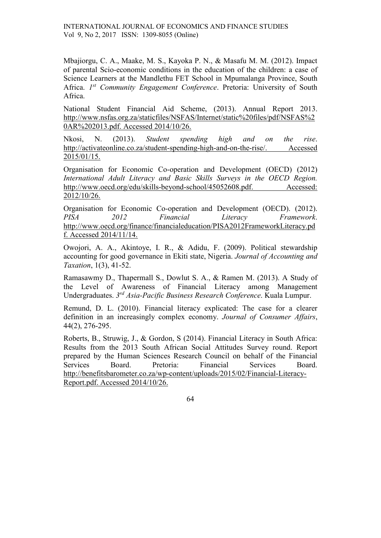INTERNATIONAL JOURNAL OF ECONOMICS AND FINANCE STUDIES Vol 9, No 2, 2017 ISSN: 1309-8055 (Online)

Mbajiorgu, C. A., Maake, M. S., Kayoka P. N., & Masafu M. M. (2012). Impact of parental Scio-economic conditions in the education of the children: a case of Science Learners at the Mandlethu FET School in Mpumalanga Province, South Africa. *1<sup>st</sup>* Community Engagement Conference. Pretoria: University of South Africa.

National Student Financial Aid Scheme, (2013). Annual Report 2013. http://www.nsfas.org.za/staticfiles/NSFAS/Internet/static%20files/pdf/NSFAS%2 0AR%202013.pdf. Accessed 2014/10/26.

Nkosi, N. (2013). Student spending high and on the rise. http://activateonline.co.za/student-spending-high-and-on-the-rise/. Accessed 2015/01/15.

Organisation for Economic Co-operation and Development (OECD) (2012) International Adult Literacy and Basic Skills Surveys in the OECD Region. http://www.oecd.org/edu/skills-beyond-school/45052608.pdf. Accessed: 2012/10/26.

Organisation for Economic Co-operation and Development (OECD). (2012). PISA 2012 Financial Literacy Framework. http://www.oecd.org/finance/financialeducation/PISA2012FrameworkLiteracy.pd f. Accessed 2014/11/14.

Owojori, A. A., Akintoye, I. R., & Adidu, F. (2009). Political stewardship accounting for good governance in Ekiti state, Nigeria. Journal of Accounting and Taxation, 1(3), 41-52.

Ramasawmy D., Thapermall S., Dowlut S. A., & Ramen M. (2013). A Study of the Level of Awareness of Financial Literacy among Management Undergraduates. 3<sup>rd</sup> Asia-Pacific Business Research Conference. Kuala Lumpur.

Remund, D. L. (2010). Financial literacy explicated: The case for a clearer definition in an increasingly complex economy. Journal of Consumer Affairs, 44(2), 276-295.

Roberts, B., Struwig, J., & Gordon, S (2014). Financial Literacy in South Africa: Results from the 2013 South African Social Attitudes Survey round. Report prepared by the Human Sciences Research Council on behalf of the Financial Services Board. Pretoria: Financial Services Board. http://benefitsbarometer.co.za/wp-content/uploads/2015/02/Financial-Literacy-Report.pdf. Accessed 2014/10/26.